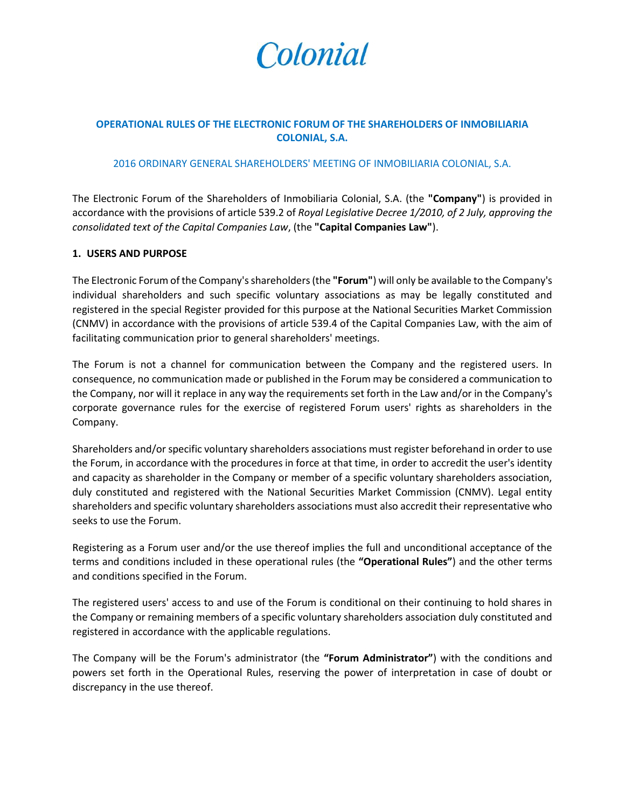

# **OPERATIONAL RULES OF THE ELECTRONIC FORUM OF THE SHAREHOLDERS OF INMOBILIARIA COLONIAL, S.A.**

#### 2016 ORDINARY GENERAL SHAREHOLDERS' MEETING OF INMOBILIARIA COLONIAL, S.A.

The Electronic Forum of the Shareholders of Inmobiliaria Colonial, S.A. (the **"Company"**) is provided in accordance with the provisions of article 539.2 of *Royal Legislative Decree 1/2010, of 2 July, approving the consolidated text of the Capital Companies Law*, (the **"Capital Companies Law"**).

### **1. USERS AND PURPOSE**

The Electronic Forum of the Company's shareholders (the **"Forum"**) will only be available to the Company's individual shareholders and such specific voluntary associations as may be legally constituted and registered in the special Register provided for this purpose at the National Securities Market Commission (CNMV) in accordance with the provisions of article 539.4 of the Capital Companies Law, with the aim of facilitating communication prior to general shareholders' meetings.

The Forum is not a channel for communication between the Company and the registered users. In consequence, no communication made or published in the Forum may be considered a communication to the Company, nor will it replace in any way the requirements set forth in the Law and/or in the Company's corporate governance rules for the exercise of registered Forum users' rights as shareholders in the Company.

Shareholders and/or specific voluntary shareholders associations must register beforehand in order to use the Forum, in accordance with the procedures in force at that time, in order to accredit the user's identity and capacity as shareholder in the Company or member of a specific voluntary shareholders association, duly constituted and registered with the National Securities Market Commission (CNMV). Legal entity shareholders and specific voluntary shareholders associations must also accredit their representative who seeks to use the Forum.

Registering as a Forum user and/or the use thereof implies the full and unconditional acceptance of the terms and conditions included in these operational rules (the **"Operational Rules"**) and the other terms and conditions specified in the Forum.

The registered users' access to and use of the Forum is conditional on their continuing to hold shares in the Company or remaining members of a specific voluntary shareholders association duly constituted and registered in accordance with the applicable regulations.

The Company will be the Forum's administrator (the **"Forum Administrator"**) with the conditions and powers set forth in the Operational Rules, reserving the power of interpretation in case of doubt or discrepancy in the use thereof.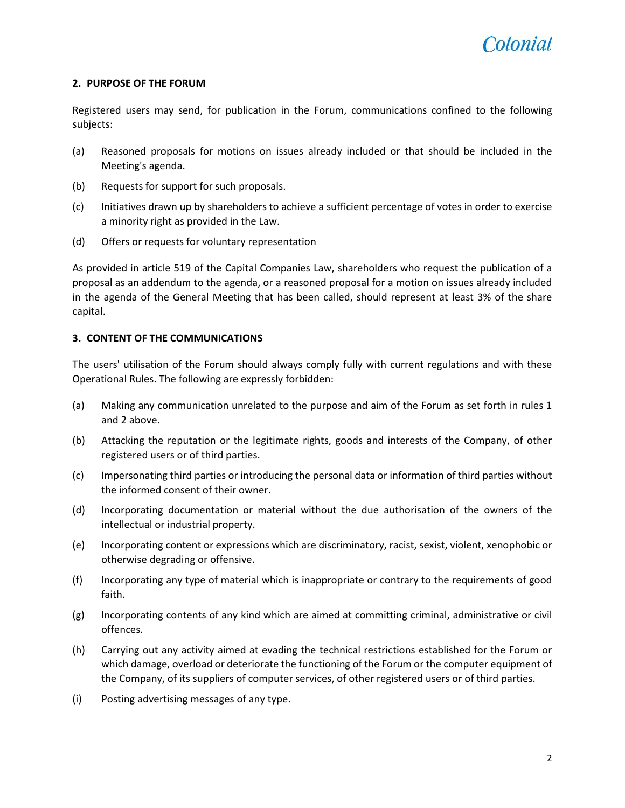## **2. PURPOSE OF THE FORUM**

Registered users may send, for publication in the Forum, communications confined to the following subjects:

- (a) Reasoned proposals for motions on issues already included or that should be included in the Meeting's agenda.
- (b) Requests for support for such proposals.
- (c) Initiatives drawn up by shareholders to achieve a sufficient percentage of votes in order to exercise a minority right as provided in the Law.
- (d) Offers or requests for voluntary representation

As provided in article 519 of the Capital Companies Law, shareholders who request the publication of a proposal as an addendum to the agenda, or a reasoned proposal for a motion on issues already included in the agenda of the General Meeting that has been called, should represent at least 3% of the share capital.

## **3. CONTENT OF THE COMMUNICATIONS**

The users' utilisation of the Forum should always comply fully with current regulations and with these Operational Rules. The following are expressly forbidden:

- (a) Making any communication unrelated to the purpose and aim of the Forum as set forth in rules 1 and 2 above.
- (b) Attacking the reputation or the legitimate rights, goods and interests of the Company, of other registered users or of third parties.
- (c) Impersonating third parties or introducing the personal data or information of third parties without the informed consent of their owner.
- (d) Incorporating documentation or material without the due authorisation of the owners of the intellectual or industrial property.
- (e) Incorporating content or expressions which are discriminatory, racist, sexist, violent, xenophobic or otherwise degrading or offensive.
- (f) Incorporating any type of material which is inappropriate or contrary to the requirements of good faith.
- (g) Incorporating contents of any kind which are aimed at committing criminal, administrative or civil offences.
- (h) Carrying out any activity aimed at evading the technical restrictions established for the Forum or which damage, overload or deteriorate the functioning of the Forum or the computer equipment of the Company, of its suppliers of computer services, of other registered users or of third parties.
- (i) Posting advertising messages of any type.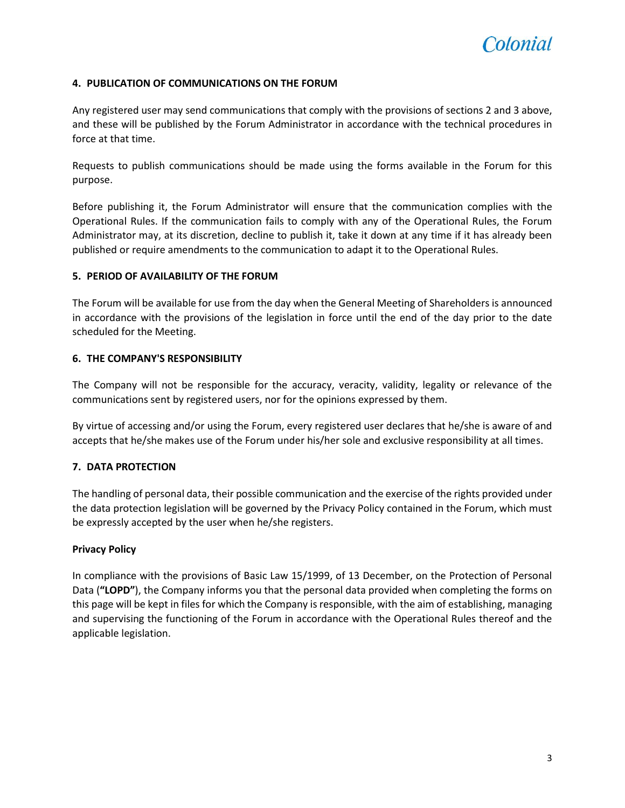

# **4. PUBLICATION OF COMMUNICATIONS ON THE FORUM**

Any registered user may send communications that comply with the provisions of sections 2 and 3 above, and these will be published by the Forum Administrator in accordance with the technical procedures in force at that time.

Requests to publish communications should be made using the forms available in the Forum for this purpose.

Before publishing it, the Forum Administrator will ensure that the communication complies with the Operational Rules. If the communication fails to comply with any of the Operational Rules, the Forum Administrator may, at its discretion, decline to publish it, take it down at any time if it has already been published or require amendments to the communication to adapt it to the Operational Rules.

## **5. PERIOD OF AVAILABILITY OF THE FORUM**

The Forum will be available for use from the day when the General Meeting of Shareholders is announced in accordance with the provisions of the legislation in force until the end of the day prior to the date scheduled for the Meeting.

### **6. THE COMPANY'S RESPONSIBILITY**

The Company will not be responsible for the accuracy, veracity, validity, legality or relevance of the communications sent by registered users, nor for the opinions expressed by them.

By virtue of accessing and/or using the Forum, every registered user declares that he/she is aware of and accepts that he/she makes use of the Forum under his/her sole and exclusive responsibility at all times.

## **7. DATA PROTECTION**

The handling of personal data, their possible communication and the exercise of the rights provided under the data protection legislation will be governed by the Privacy Policy contained in the Forum, which must be expressly accepted by the user when he/she registers.

## **Privacy Policy**

In compliance with the provisions of Basic Law 15/1999, of 13 December, on the Protection of Personal Data (**"LOPD"**), the Company informs you that the personal data provided when completing the forms on this page will be kept in files for which the Company is responsible, with the aim of establishing, managing and supervising the functioning of the Forum in accordance with the Operational Rules thereof and the applicable legislation.